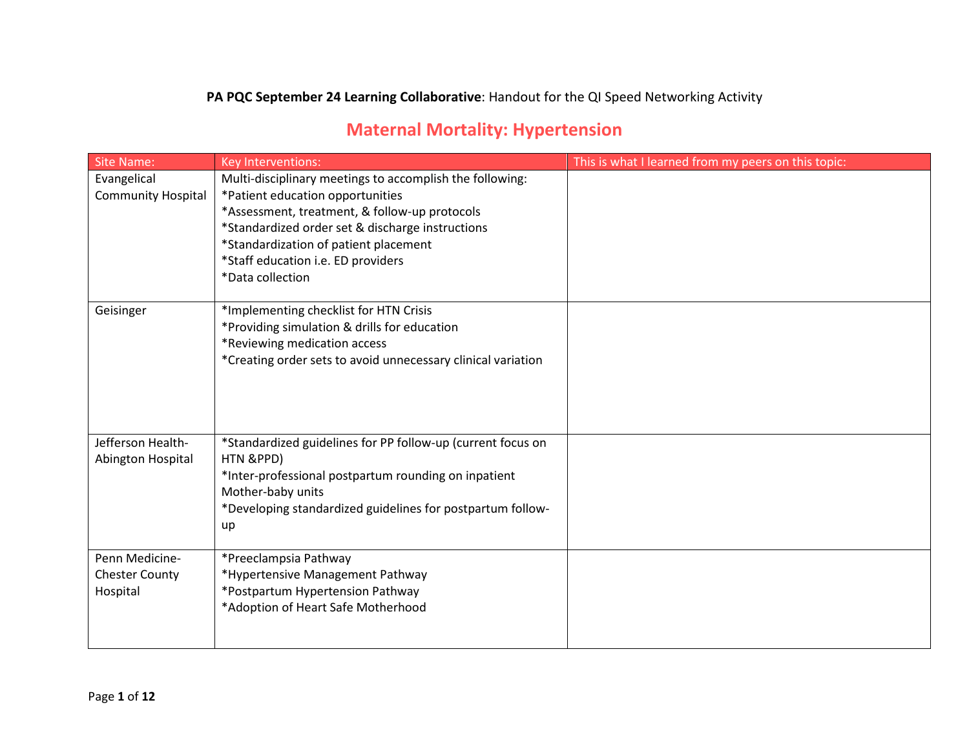### **PA PQC September 24 Learning Collaborative**: Handout for the QI Speed Networking Activity

# **Maternal Mortality: Hypertension**

| <b>Site Name:</b>         | Key Interventions:                                                                        | This is what I learned from my peers on this topic: |
|---------------------------|-------------------------------------------------------------------------------------------|-----------------------------------------------------|
| Evangelical               | Multi-disciplinary meetings to accomplish the following:                                  |                                                     |
| <b>Community Hospital</b> | *Patient education opportunities                                                          |                                                     |
|                           | *Assessment, treatment, & follow-up protocols                                             |                                                     |
|                           | *Standardized order set & discharge instructions<br>*Standardization of patient placement |                                                     |
|                           | *Staff education i.e. ED providers                                                        |                                                     |
|                           | *Data collection                                                                          |                                                     |
|                           |                                                                                           |                                                     |
| Geisinger                 | *Implementing checklist for HTN Crisis                                                    |                                                     |
|                           | *Providing simulation & drills for education                                              |                                                     |
|                           | *Reviewing medication access                                                              |                                                     |
|                           | *Creating order sets to avoid unnecessary clinical variation                              |                                                     |
|                           |                                                                                           |                                                     |
|                           |                                                                                           |                                                     |
|                           |                                                                                           |                                                     |
| Jefferson Health-         | *Standardized guidelines for PP follow-up (current focus on                               |                                                     |
| Abington Hospital         | HTN &PPD)                                                                                 |                                                     |
|                           | *Inter-professional postpartum rounding on inpatient                                      |                                                     |
|                           | Mother-baby units                                                                         |                                                     |
|                           | *Developing standardized guidelines for postpartum follow-                                |                                                     |
|                           | up                                                                                        |                                                     |
| Penn Medicine-            | *Preeclampsia Pathway                                                                     |                                                     |
| <b>Chester County</b>     | *Hypertensive Management Pathway                                                          |                                                     |
| Hospital                  | *Postpartum Hypertension Pathway                                                          |                                                     |
|                           | *Adoption of Heart Safe Motherhood                                                        |                                                     |
|                           |                                                                                           |                                                     |
|                           |                                                                                           |                                                     |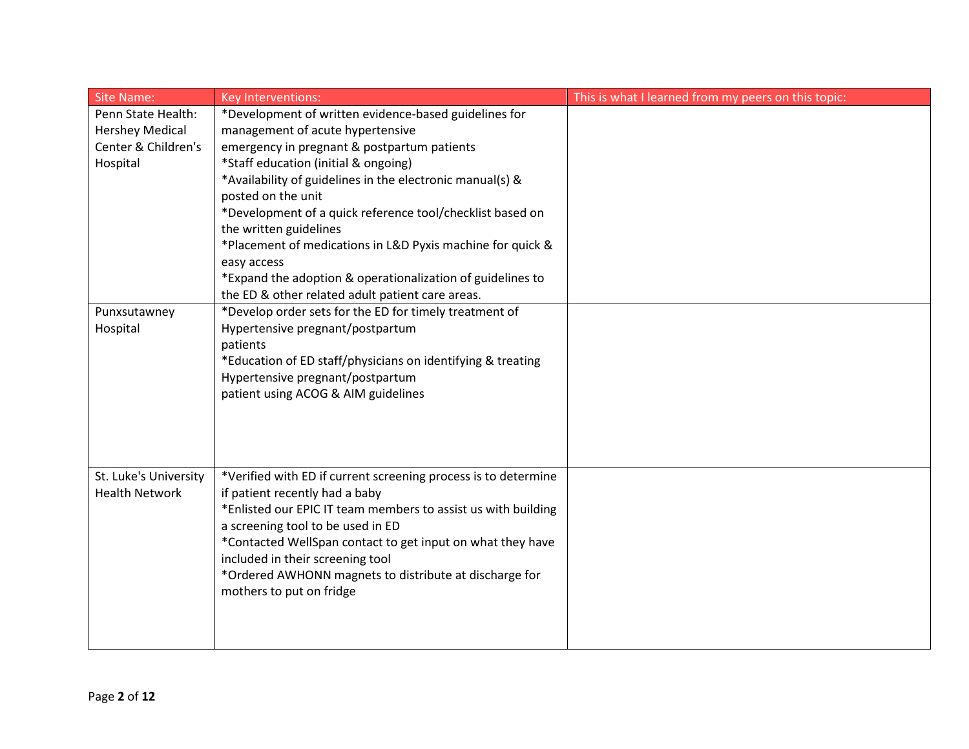| <b>Site Name:</b>      | Key Interventions:                                                                                                                                                                                                                                                                                                           | This is what I learned from my peers on this topic: |
|------------------------|------------------------------------------------------------------------------------------------------------------------------------------------------------------------------------------------------------------------------------------------------------------------------------------------------------------------------|-----------------------------------------------------|
| Penn State Health:     | *Development of written evidence-based guidelines for                                                                                                                                                                                                                                                                        |                                                     |
| <b>Hershey Medical</b> | management of acute hypertensive                                                                                                                                                                                                                                                                                             |                                                     |
| Center & Children's    | emergency in pregnant & postpartum patients                                                                                                                                                                                                                                                                                  |                                                     |
| Hospital               | *Staff education (initial & ongoing)                                                                                                                                                                                                                                                                                         |                                                     |
|                        | *Availability of guidelines in the electronic manual(s) &                                                                                                                                                                                                                                                                    |                                                     |
|                        | posted on the unit                                                                                                                                                                                                                                                                                                           |                                                     |
|                        | *Development of a quick reference tool/checklist based on                                                                                                                                                                                                                                                                    |                                                     |
|                        | the written guidelines                                                                                                                                                                                                                                                                                                       |                                                     |
|                        | *Placement of medications in L&D Pyxis machine for quick &                                                                                                                                                                                                                                                                   |                                                     |
|                        | easy access                                                                                                                                                                                                                                                                                                                  |                                                     |
|                        | *Expand the adoption & operationalization of guidelines to<br>the ED & other related adult patient care areas.                                                                                                                                                                                                               |                                                     |
| Punxsutawney           | *Develop order sets for the ED for timely treatment of                                                                                                                                                                                                                                                                       |                                                     |
| Hospital               | Hypertensive pregnant/postpartum                                                                                                                                                                                                                                                                                             |                                                     |
|                        | patients                                                                                                                                                                                                                                                                                                                     |                                                     |
|                        | *Education of ED staff/physicians on identifying & treating                                                                                                                                                                                                                                                                  |                                                     |
|                        | Hypertensive pregnant/postpartum                                                                                                                                                                                                                                                                                             |                                                     |
|                        | patient using ACOG & AIM guidelines                                                                                                                                                                                                                                                                                          |                                                     |
|                        |                                                                                                                                                                                                                                                                                                                              |                                                     |
|                        |                                                                                                                                                                                                                                                                                                                              |                                                     |
|                        |                                                                                                                                                                                                                                                                                                                              |                                                     |
|                        |                                                                                                                                                                                                                                                                                                                              |                                                     |
| St. Luke's University  | *Verified with ED if current screening process is to determine                                                                                                                                                                                                                                                               |                                                     |
|                        |                                                                                                                                                                                                                                                                                                                              |                                                     |
|                        |                                                                                                                                                                                                                                                                                                                              |                                                     |
|                        |                                                                                                                                                                                                                                                                                                                              |                                                     |
|                        |                                                                                                                                                                                                                                                                                                                              |                                                     |
|                        |                                                                                                                                                                                                                                                                                                                              |                                                     |
|                        |                                                                                                                                                                                                                                                                                                                              |                                                     |
|                        |                                                                                                                                                                                                                                                                                                                              |                                                     |
|                        |                                                                                                                                                                                                                                                                                                                              |                                                     |
|                        |                                                                                                                                                                                                                                                                                                                              |                                                     |
| <b>Health Network</b>  | if patient recently had a baby<br>*Enlisted our EPIC IT team members to assist us with building<br>a screening tool to be used in ED<br>*Contacted WellSpan contact to get input on what they have<br>included in their screening tool<br>*Ordered AWHONN magnets to distribute at discharge for<br>mothers to put on fridge |                                                     |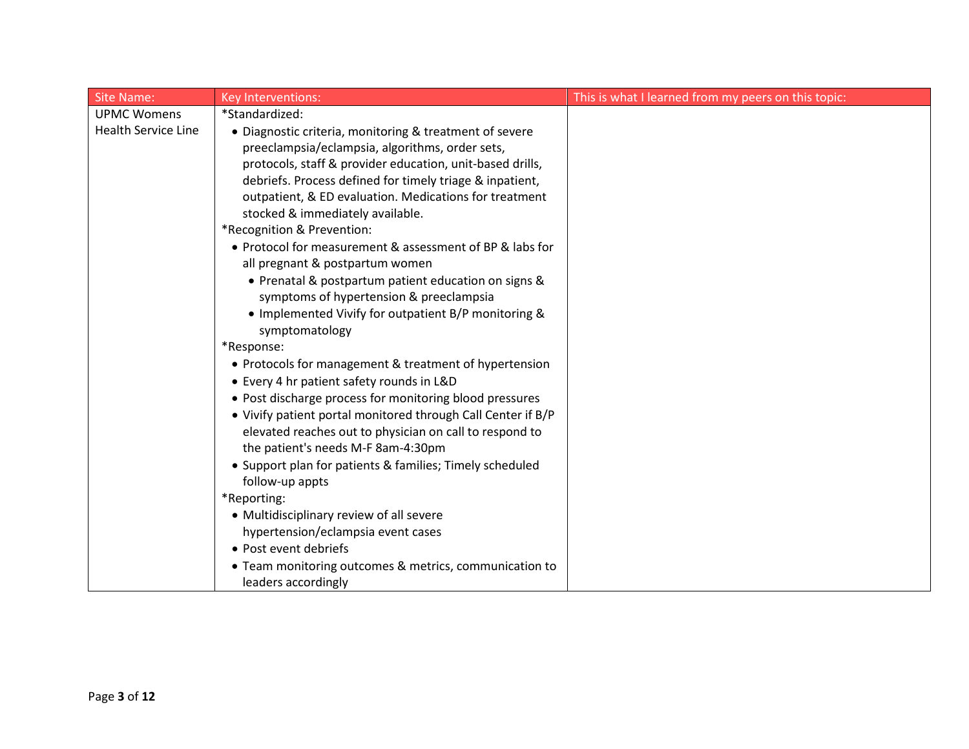| <b>Site Name:</b>          | Key Interventions:                                                          | This is what I learned from my peers on this topic: |
|----------------------------|-----------------------------------------------------------------------------|-----------------------------------------------------|
| <b>UPMC Womens</b>         | *Standardized:                                                              |                                                     |
| <b>Health Service Line</b> | • Diagnostic criteria, monitoring & treatment of severe                     |                                                     |
|                            | preeclampsia/eclampsia, algorithms, order sets,                             |                                                     |
|                            | protocols, staff & provider education, unit-based drills,                   |                                                     |
|                            | debriefs. Process defined for timely triage & inpatient,                    |                                                     |
|                            | outpatient, & ED evaluation. Medications for treatment                      |                                                     |
|                            | stocked & immediately available.                                            |                                                     |
|                            | *Recognition & Prevention:                                                  |                                                     |
|                            | • Protocol for measurement & assessment of BP & labs for                    |                                                     |
|                            | all pregnant & postpartum women                                             |                                                     |
|                            | • Prenatal & postpartum patient education on signs &                        |                                                     |
|                            | symptoms of hypertension & preeclampsia                                     |                                                     |
|                            | • Implemented Vivify for outpatient B/P monitoring &                        |                                                     |
|                            | symptomatology                                                              |                                                     |
|                            | *Response:                                                                  |                                                     |
|                            | • Protocols for management & treatment of hypertension                      |                                                     |
|                            | • Every 4 hr patient safety rounds in L&D                                   |                                                     |
|                            | • Post discharge process for monitoring blood pressures                     |                                                     |
|                            | • Vivify patient portal monitored through Call Center if B/P                |                                                     |
|                            | elevated reaches out to physician on call to respond to                     |                                                     |
|                            | the patient's needs M-F 8am-4:30pm                                          |                                                     |
|                            | • Support plan for patients & families; Timely scheduled<br>follow-up appts |                                                     |
|                            | *Reporting:                                                                 |                                                     |
|                            | • Multidisciplinary review of all severe                                    |                                                     |
|                            | hypertension/eclampsia event cases                                          |                                                     |
|                            | • Post event debriefs                                                       |                                                     |
|                            | • Team monitoring outcomes & metrics, communication to                      |                                                     |
|                            | leaders accordingly                                                         |                                                     |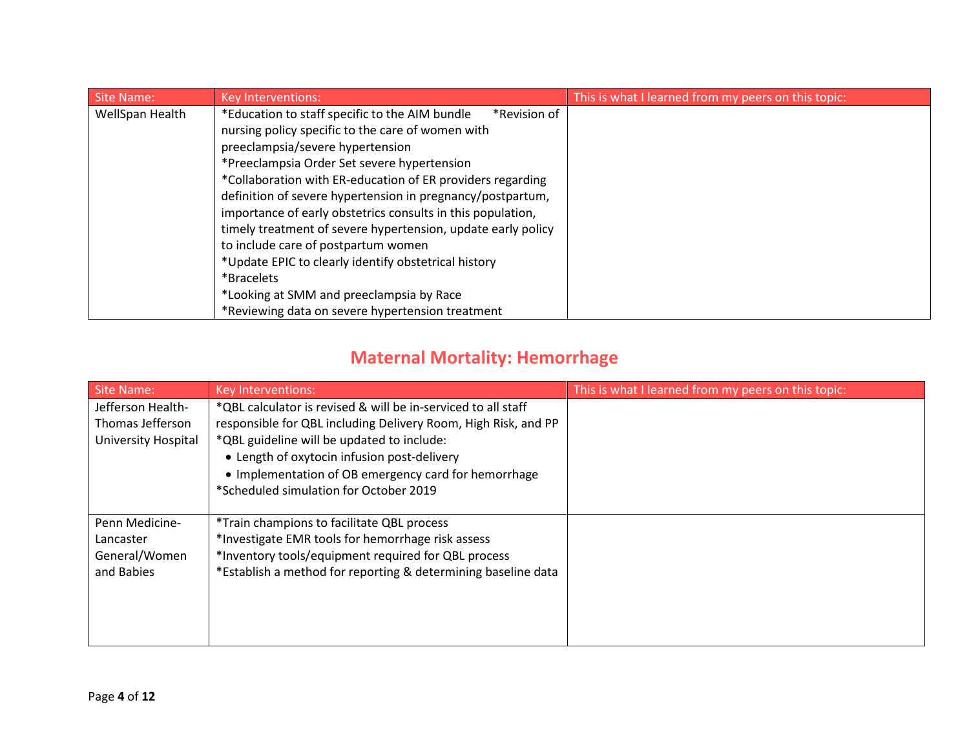| <b>Site Name:</b> | <b>Key Interventions:</b>                                      | This is what I learned from my peers on this topic: |
|-------------------|----------------------------------------------------------------|-----------------------------------------------------|
| WellSpan Health   | *Education to staff specific to the AIM bundle<br>*Revision of |                                                     |
|                   | nursing policy specific to the care of women with              |                                                     |
|                   | preeclampsia/severe hypertension                               |                                                     |
|                   | *Preeclampsia Order Set severe hypertension                    |                                                     |
|                   | *Collaboration with ER-education of ER providers regarding     |                                                     |
|                   | definition of severe hypertension in pregnancy/postpartum,     |                                                     |
|                   | importance of early obstetrics consults in this population,    |                                                     |
|                   | timely treatment of severe hypertension, update early policy   |                                                     |
|                   | to include care of postpartum women                            |                                                     |
|                   | *Update EPIC to clearly identify obstetrical history           |                                                     |
|                   | *Bracelets                                                     |                                                     |
|                   | *Looking at SMM and preeclampsia by Race                       |                                                     |
|                   | *Reviewing data on severe hypertension treatment               |                                                     |

# **Maternal Mortality: Hemorrhage**

| <b>Site Name:</b>   | Key Interventions:                                             | This is what I learned from my peers on this topic: |
|---------------------|----------------------------------------------------------------|-----------------------------------------------------|
| Jefferson Health-   | *QBL calculator is revised & will be in-serviced to all staff  |                                                     |
| Thomas Jefferson    | responsible for QBL including Delivery Room, High Risk, and PP |                                                     |
| University Hospital | *QBL guideline will be updated to include:                     |                                                     |
|                     | • Length of oxytocin infusion post-delivery                    |                                                     |
|                     | • Implementation of OB emergency card for hemorrhage           |                                                     |
|                     | *Scheduled simulation for October 2019                         |                                                     |
|                     |                                                                |                                                     |
| Penn Medicine-      | *Train champions to facilitate QBL process                     |                                                     |
| Lancaster           | *Investigate EMR tools for hemorrhage risk assess              |                                                     |
| General/Women       | *Inventory tools/equipment required for QBL process            |                                                     |
| and Babies          | *Establish a method for reporting & determining baseline data  |                                                     |
|                     |                                                                |                                                     |
|                     |                                                                |                                                     |
|                     |                                                                |                                                     |
|                     |                                                                |                                                     |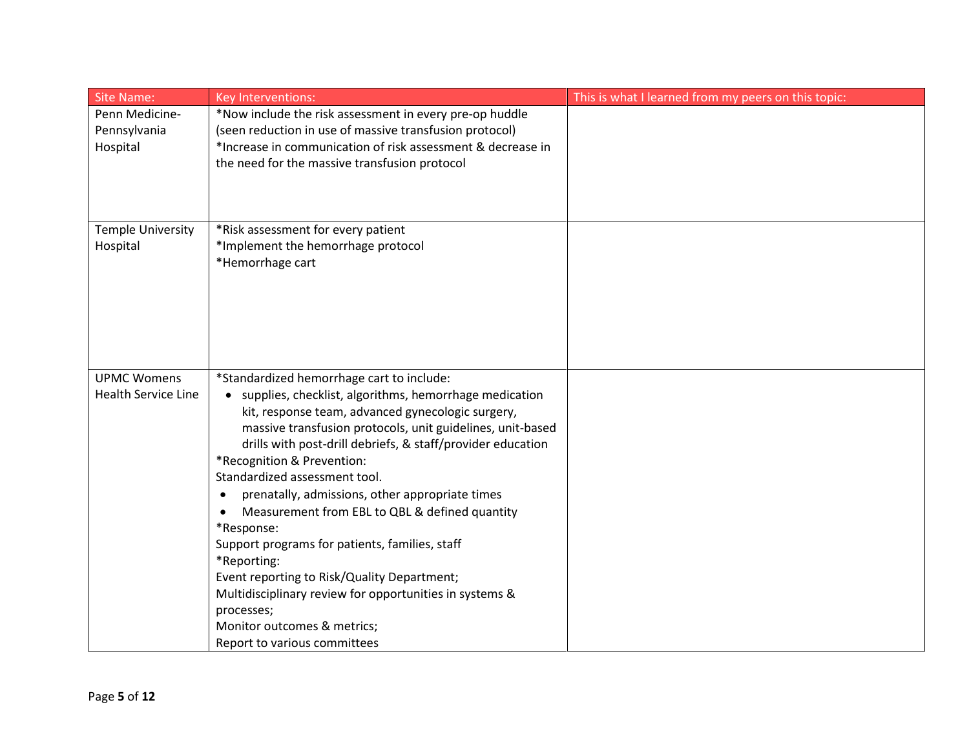| <b>Site Name:</b>        | Key Interventions:                                                                                              | This is what I learned from my peers on this topic: |
|--------------------------|-----------------------------------------------------------------------------------------------------------------|-----------------------------------------------------|
| Penn Medicine-           | *Now include the risk assessment in every pre-op huddle                                                         |                                                     |
| Pennsylvania             | (seen reduction in use of massive transfusion protocol)                                                         |                                                     |
| Hospital                 | *Increase in communication of risk assessment & decrease in                                                     |                                                     |
|                          | the need for the massive transfusion protocol                                                                   |                                                     |
|                          |                                                                                                                 |                                                     |
|                          |                                                                                                                 |                                                     |
| <b>Temple University</b> | *Risk assessment for every patient                                                                              |                                                     |
| Hospital                 | *Implement the hemorrhage protocol                                                                              |                                                     |
|                          | *Hemorrhage cart                                                                                                |                                                     |
|                          |                                                                                                                 |                                                     |
|                          |                                                                                                                 |                                                     |
|                          |                                                                                                                 |                                                     |
|                          |                                                                                                                 |                                                     |
|                          |                                                                                                                 |                                                     |
|                          |                                                                                                                 |                                                     |
| <b>UPMC Womens</b>       | *Standardized hemorrhage cart to include:                                                                       |                                                     |
| Health Service Line      | • supplies, checklist, algorithms, hemorrhage medication                                                        |                                                     |
|                          | kit, response team, advanced gynecologic surgery,<br>massive transfusion protocols, unit guidelines, unit-based |                                                     |
|                          | drills with post-drill debriefs, & staff/provider education                                                     |                                                     |
|                          | *Recognition & Prevention:                                                                                      |                                                     |
|                          | Standardized assessment tool.                                                                                   |                                                     |
|                          | prenatally, admissions, other appropriate times<br>$\bullet$                                                    |                                                     |
|                          | Measurement from EBL to QBL & defined quantity<br>$\bullet$                                                     |                                                     |
|                          | *Response:                                                                                                      |                                                     |
|                          | Support programs for patients, families, staff                                                                  |                                                     |
|                          | *Reporting:                                                                                                     |                                                     |
|                          | Event reporting to Risk/Quality Department;                                                                     |                                                     |
|                          | Multidisciplinary review for opportunities in systems &                                                         |                                                     |
|                          | processes;                                                                                                      |                                                     |
|                          | Monitor outcomes & metrics;                                                                                     |                                                     |
|                          | Report to various committees                                                                                    |                                                     |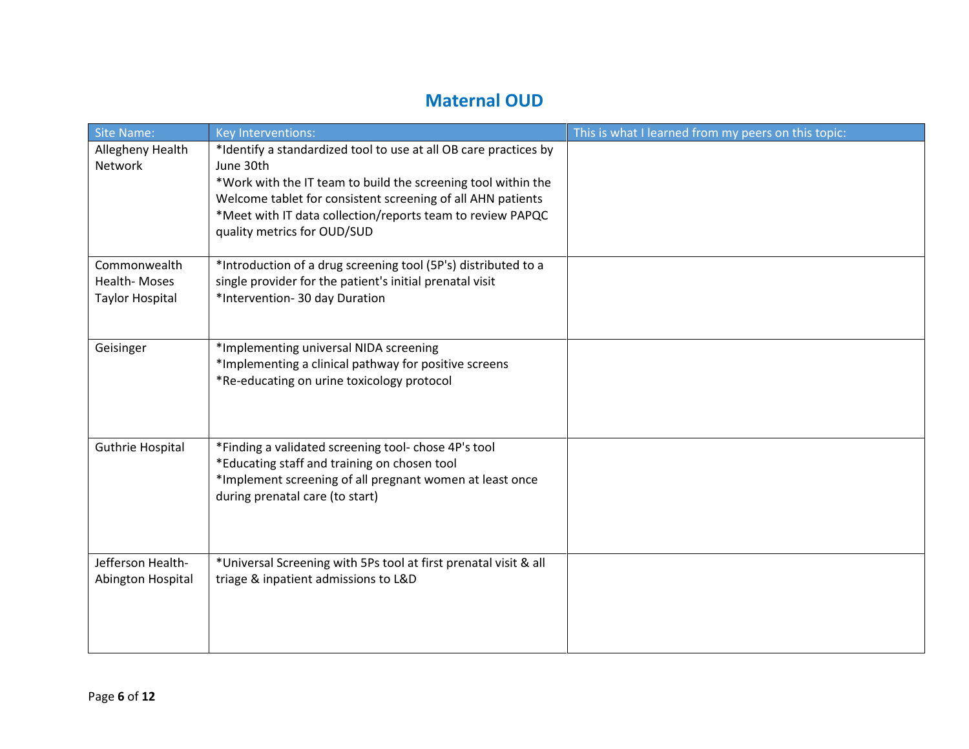### **Maternal OUD**

| <b>Site Name:</b>                  | Key Interventions:                                                            | This is what I learned from my peers on this topic: |
|------------------------------------|-------------------------------------------------------------------------------|-----------------------------------------------------|
| Allegheny Health<br><b>Network</b> | *Identify a standardized tool to use at all OB care practices by<br>June 30th |                                                     |
|                                    | *Work with the IT team to build the screening tool within the                 |                                                     |
|                                    | Welcome tablet for consistent screening of all AHN patients                   |                                                     |
|                                    | *Meet with IT data collection/reports team to review PAPQC                    |                                                     |
|                                    | quality metrics for OUD/SUD                                                   |                                                     |
|                                    |                                                                               |                                                     |
| Commonwealth                       | *Introduction of a drug screening tool (5P's) distributed to a                |                                                     |
| Health-Moses                       | single provider for the patient's initial prenatal visit                      |                                                     |
| <b>Taylor Hospital</b>             | *Intervention- 30 day Duration                                                |                                                     |
|                                    |                                                                               |                                                     |
| Geisinger                          | *Implementing universal NIDA screening                                        |                                                     |
|                                    | *Implementing a clinical pathway for positive screens                         |                                                     |
|                                    | *Re-educating on urine toxicology protocol                                    |                                                     |
|                                    |                                                                               |                                                     |
|                                    |                                                                               |                                                     |
| Guthrie Hospital                   | *Finding a validated screening tool- chose 4P's tool                          |                                                     |
|                                    | *Educating staff and training on chosen tool                                  |                                                     |
|                                    | *Implement screening of all pregnant women at least once                      |                                                     |
|                                    | during prenatal care (to start)                                               |                                                     |
|                                    |                                                                               |                                                     |
|                                    |                                                                               |                                                     |
| Jefferson Health-                  | *Universal Screening with 5Ps tool at first prenatal visit & all              |                                                     |
| Abington Hospital                  | triage & inpatient admissions to L&D                                          |                                                     |
|                                    |                                                                               |                                                     |
|                                    |                                                                               |                                                     |
|                                    |                                                                               |                                                     |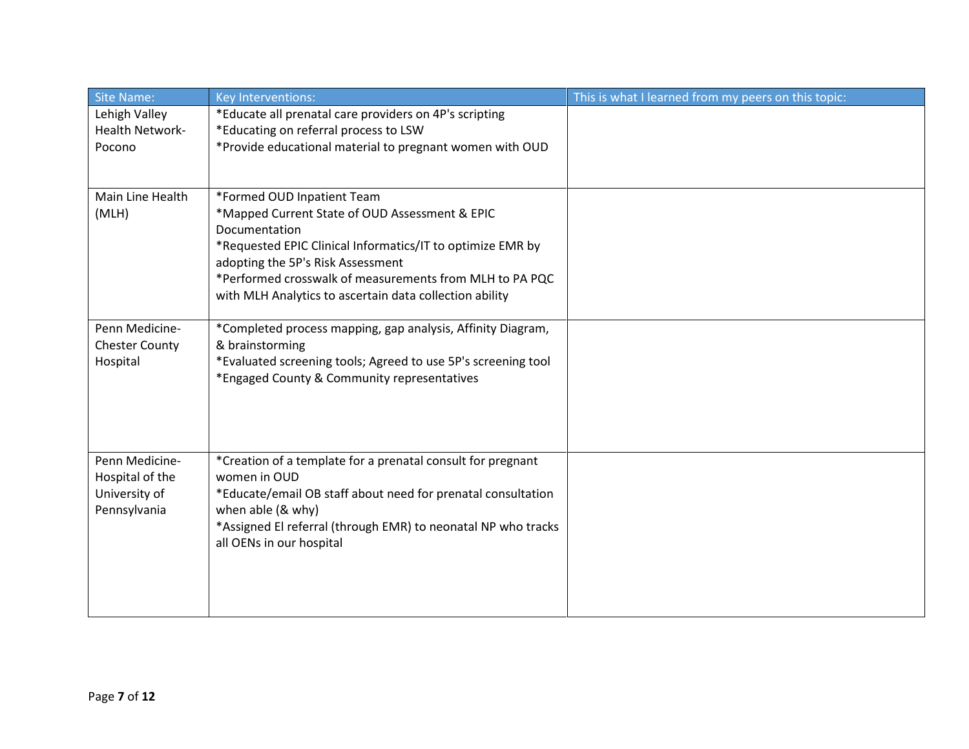| <b>Site Name:</b>      | Key Interventions:                                                                              | This is what I learned from my peers on this topic: |
|------------------------|-------------------------------------------------------------------------------------------------|-----------------------------------------------------|
| Lehigh Valley          | *Educate all prenatal care providers on 4P's scripting                                          |                                                     |
| <b>Health Network-</b> | *Educating on referral process to LSW                                                           |                                                     |
| Pocono                 | *Provide educational material to pregnant women with OUD                                        |                                                     |
|                        |                                                                                                 |                                                     |
|                        |                                                                                                 |                                                     |
| Main Line Health       | *Formed OUD Inpatient Team                                                                      |                                                     |
| (MLH)                  | *Mapped Current State of OUD Assessment & EPIC                                                  |                                                     |
|                        | Documentation                                                                                   |                                                     |
|                        | *Requested EPIC Clinical Informatics/IT to optimize EMR by<br>adopting the 5P's Risk Assessment |                                                     |
|                        | *Performed crosswalk of measurements from MLH to PA PQC                                         |                                                     |
|                        | with MLH Analytics to ascertain data collection ability                                         |                                                     |
|                        |                                                                                                 |                                                     |
| Penn Medicine-         | *Completed process mapping, gap analysis, Affinity Diagram,                                     |                                                     |
| <b>Chester County</b>  | & brainstorming                                                                                 |                                                     |
| Hospital               | *Evaluated screening tools; Agreed to use 5P's screening tool                                   |                                                     |
|                        | *Engaged County & Community representatives                                                     |                                                     |
|                        |                                                                                                 |                                                     |
|                        |                                                                                                 |                                                     |
|                        |                                                                                                 |                                                     |
| Penn Medicine-         | *Creation of a template for a prenatal consult for pregnant                                     |                                                     |
| Hospital of the        | women in OUD                                                                                    |                                                     |
| University of          | *Educate/email OB staff about need for prenatal consultation                                    |                                                     |
| Pennsylvania           | when able (& why)                                                                               |                                                     |
|                        | *Assigned El referral (through EMR) to neonatal NP who tracks                                   |                                                     |
|                        | all OENs in our hospital                                                                        |                                                     |
|                        |                                                                                                 |                                                     |
|                        |                                                                                                 |                                                     |
|                        |                                                                                                 |                                                     |
|                        |                                                                                                 |                                                     |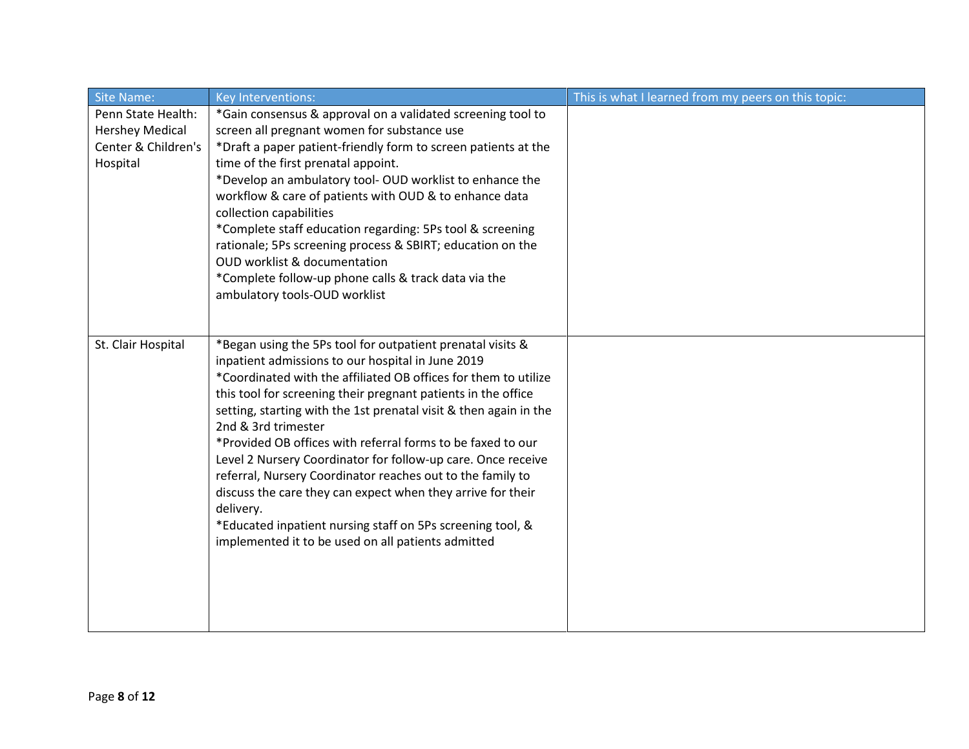| <b>Site Name:</b>      | Key Interventions:                                                                                                 | This is what I learned from my peers on this topic: |
|------------------------|--------------------------------------------------------------------------------------------------------------------|-----------------------------------------------------|
| Penn State Health:     | *Gain consensus & approval on a validated screening tool to                                                        |                                                     |
| <b>Hershey Medical</b> | screen all pregnant women for substance use                                                                        |                                                     |
| Center & Children's    | *Draft a paper patient-friendly form to screen patients at the                                                     |                                                     |
| Hospital               | time of the first prenatal appoint.                                                                                |                                                     |
|                        | *Develop an ambulatory tool- OUD worklist to enhance the<br>workflow & care of patients with OUD & to enhance data |                                                     |
|                        | collection capabilities                                                                                            |                                                     |
|                        | *Complete staff education regarding: 5Ps tool & screening                                                          |                                                     |
|                        | rationale; 5Ps screening process & SBIRT; education on the                                                         |                                                     |
|                        | OUD worklist & documentation                                                                                       |                                                     |
|                        | *Complete follow-up phone calls & track data via the                                                               |                                                     |
|                        | ambulatory tools-OUD worklist                                                                                      |                                                     |
|                        |                                                                                                                    |                                                     |
| St. Clair Hospital     | *Began using the 5Ps tool for outpatient prenatal visits &                                                         |                                                     |
|                        | inpatient admissions to our hospital in June 2019                                                                  |                                                     |
|                        | *Coordinated with the affiliated OB offices for them to utilize                                                    |                                                     |
|                        | this tool for screening their pregnant patients in the office                                                      |                                                     |
|                        | setting, starting with the 1st prenatal visit & then again in the                                                  |                                                     |
|                        | 2nd & 3rd trimester                                                                                                |                                                     |
|                        | *Provided OB offices with referral forms to be faxed to our                                                        |                                                     |
|                        | Level 2 Nursery Coordinator for follow-up care. Once receive                                                       |                                                     |
|                        | referral, Nursery Coordinator reaches out to the family to                                                         |                                                     |
|                        | discuss the care they can expect when they arrive for their                                                        |                                                     |
|                        | delivery.                                                                                                          |                                                     |
|                        | *Educated inpatient nursing staff on 5Ps screening tool, &<br>implemented it to be used on all patients admitted   |                                                     |
|                        |                                                                                                                    |                                                     |
|                        |                                                                                                                    |                                                     |
|                        |                                                                                                                    |                                                     |
|                        |                                                                                                                    |                                                     |
|                        |                                                                                                                    |                                                     |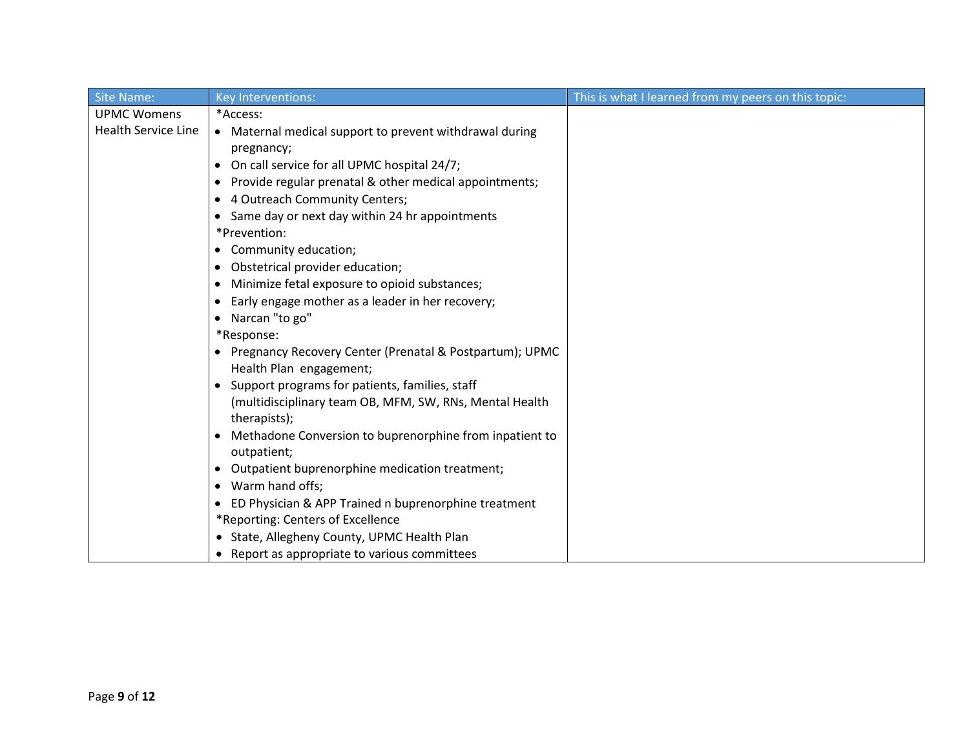| <b>Site Name:</b>          | <b>Key Interventions:</b>                                            | This is what I learned from my peers on this topic: |
|----------------------------|----------------------------------------------------------------------|-----------------------------------------------------|
| <b>UPMC Womens</b>         | *Access:                                                             |                                                     |
| <b>Health Service Line</b> | • Maternal medical support to prevent withdrawal during              |                                                     |
|                            | pregnancy;                                                           |                                                     |
|                            | On call service for all UPMC hospital 24/7;<br>$\bullet$             |                                                     |
|                            | Provide regular prenatal & other medical appointments;<br>٠          |                                                     |
|                            | • 4 Outreach Community Centers;                                      |                                                     |
|                            | • Same day or next day within 24 hr appointments                     |                                                     |
|                            | *Prevention:                                                         |                                                     |
|                            | Community education;<br>$\bullet$                                    |                                                     |
|                            | Obstetrical provider education;<br>$\bullet$                         |                                                     |
|                            | Minimize fetal exposure to opioid substances;<br>٠                   |                                                     |
|                            | Early engage mother as a leader in her recovery;                     |                                                     |
|                            | • Narcan "to go"                                                     |                                                     |
|                            | *Response:                                                           |                                                     |
|                            | • Pregnancy Recovery Center (Prenatal & Postpartum); UPMC            |                                                     |
|                            | Health Plan engagement;                                              |                                                     |
|                            | Support programs for patients, families, staff<br>$\bullet$          |                                                     |
|                            | (multidisciplinary team OB, MFM, SW, RNs, Mental Health)             |                                                     |
|                            | therapists);                                                         |                                                     |
|                            | Methadone Conversion to buprenorphine from inpatient to<br>$\bullet$ |                                                     |
|                            | outpatient;                                                          |                                                     |
|                            | Outpatient buprenorphine medication treatment;<br>$\bullet$          |                                                     |
|                            | • Warm hand offs;                                                    |                                                     |
|                            | • ED Physician & APP Trained n buprenorphine treatment               |                                                     |
|                            | *Reporting: Centers of Excellence                                    |                                                     |
|                            | • State, Allegheny County, UPMC Health Plan                          |                                                     |
|                            | Report as appropriate to various committees                          |                                                     |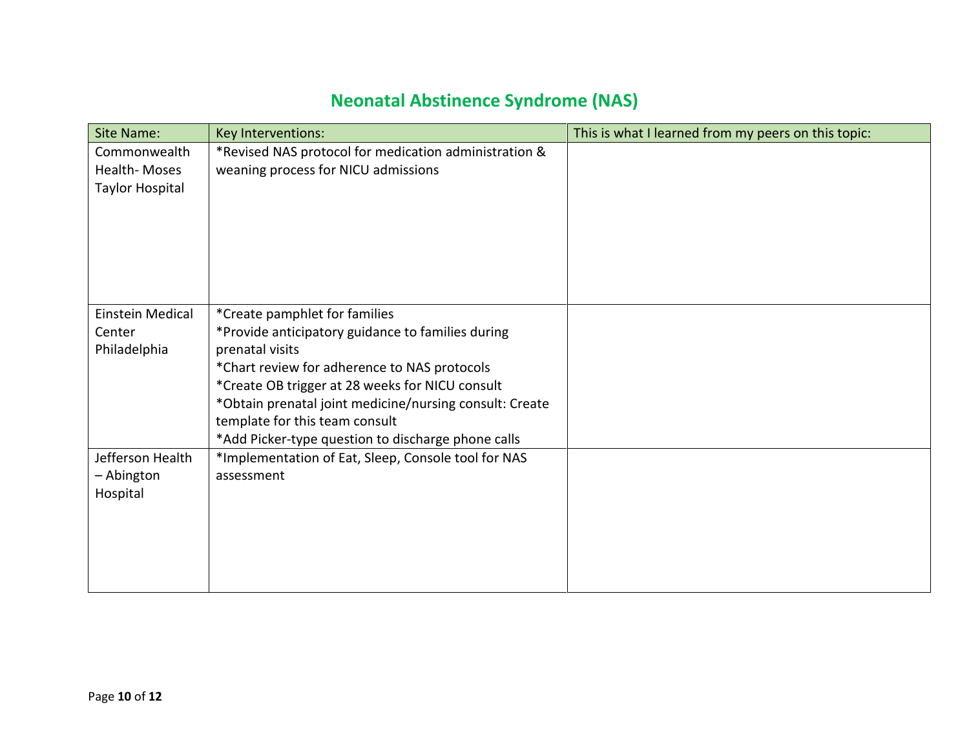# **Neonatal Abstinence Syndrome (NAS)**

| <b>Site Name:</b>                               | Key Interventions:                                                                                                                                                                                                                                                                                                                                          | This is what I learned from my peers on this topic: |
|-------------------------------------------------|-------------------------------------------------------------------------------------------------------------------------------------------------------------------------------------------------------------------------------------------------------------------------------------------------------------------------------------------------------------|-----------------------------------------------------|
| Commonwealth<br>Health-Moses<br>Taylor Hospital | *Revised NAS protocol for medication administration &<br>weaning process for NICU admissions                                                                                                                                                                                                                                                                |                                                     |
| Einstein Medical<br>Center<br>Philadelphia      | *Create pamphlet for families<br>*Provide anticipatory guidance to families during<br>prenatal visits<br>*Chart review for adherence to NAS protocols<br>*Create OB trigger at 28 weeks for NICU consult<br>*Obtain prenatal joint medicine/nursing consult: Create<br>template for this team consult<br>*Add Picker-type question to discharge phone calls |                                                     |
| Jefferson Health<br>- Abington<br>Hospital      | *Implementation of Eat, Sleep, Console tool for NAS<br>assessment                                                                                                                                                                                                                                                                                           |                                                     |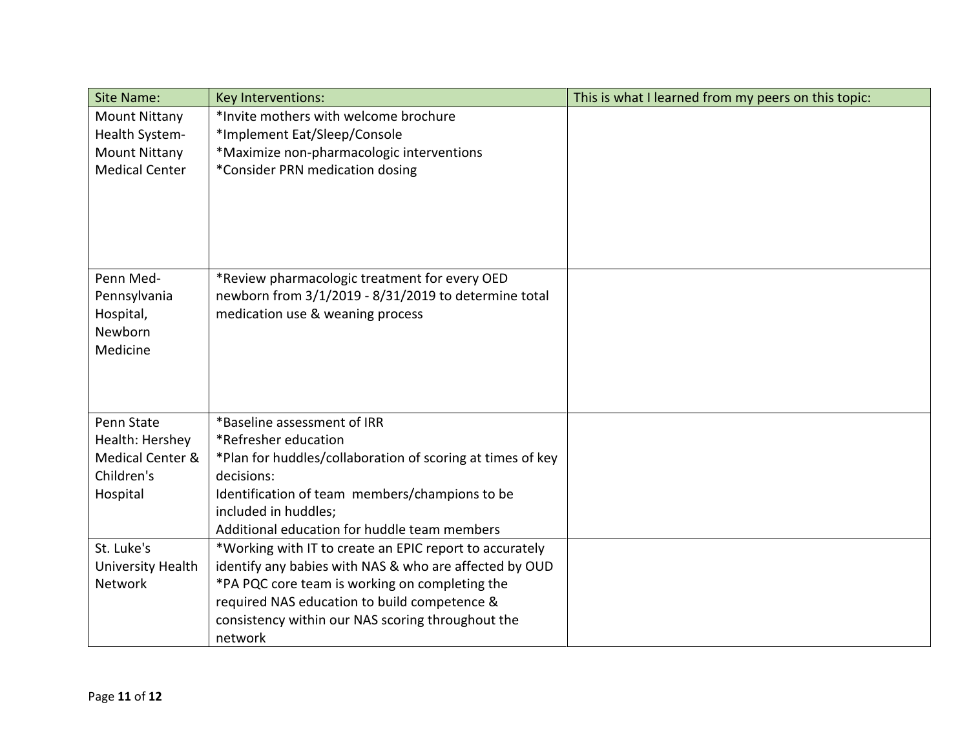| <b>Site Name:</b>        | <b>Key Interventions:</b>                                  | This is what I learned from my peers on this topic: |
|--------------------------|------------------------------------------------------------|-----------------------------------------------------|
| <b>Mount Nittany</b>     | *Invite mothers with welcome brochure                      |                                                     |
| Health System-           | *Implement Eat/Sleep/Console                               |                                                     |
| <b>Mount Nittany</b>     | *Maximize non-pharmacologic interventions                  |                                                     |
| <b>Medical Center</b>    | *Consider PRN medication dosing                            |                                                     |
|                          |                                                            |                                                     |
|                          |                                                            |                                                     |
|                          |                                                            |                                                     |
|                          |                                                            |                                                     |
|                          |                                                            |                                                     |
| Penn Med-                | *Review pharmacologic treatment for every OED              |                                                     |
| Pennsylvania             | newborn from 3/1/2019 - 8/31/2019 to determine total       |                                                     |
| Hospital,                | medication use & weaning process                           |                                                     |
| Newborn                  |                                                            |                                                     |
| Medicine                 |                                                            |                                                     |
|                          |                                                            |                                                     |
|                          |                                                            |                                                     |
| Penn State               | *Baseline assessment of IRR                                |                                                     |
| Health: Hershey          | *Refresher education                                       |                                                     |
| Medical Center &         | *Plan for huddles/collaboration of scoring at times of key |                                                     |
| Children's               | decisions:                                                 |                                                     |
| Hospital                 | Identification of team members/champions to be             |                                                     |
|                          | included in huddles;                                       |                                                     |
|                          | Additional education for huddle team members               |                                                     |
| St. Luke's               | *Working with IT to create an EPIC report to accurately    |                                                     |
| <b>University Health</b> | identify any babies with NAS & who are affected by OUD     |                                                     |
| Network                  | *PA PQC core team is working on completing the             |                                                     |
|                          | required NAS education to build competence &               |                                                     |
|                          | consistency within our NAS scoring throughout the          |                                                     |
|                          | network                                                    |                                                     |